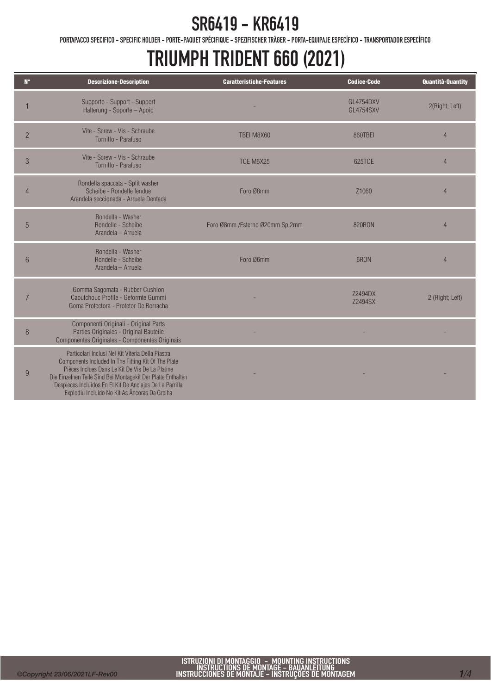PORTAPACCO SPECIFICO - SPECIFIC HOLDER - PORTE-PAQUET SPÉCIFIQUE - SPEZIFISCHER TRÄGER - PORTA-EQUIPAJE ESPECÍFICO - TRANSPORTADOR ESPECÍFICO

### TRIUMPH TRIDENT 660 (2021)

| $N^{\circ}$    | <b>Descrizione-Description</b>                                                                                                                                                                                                                                                                                                           | <b>Caratteristiche-Features</b> | <b>Codice-Code</b>            | <b>Quantità-Quantity</b> |
|----------------|------------------------------------------------------------------------------------------------------------------------------------------------------------------------------------------------------------------------------------------------------------------------------------------------------------------------------------------|---------------------------------|-------------------------------|--------------------------|
|                | Supporto - Support - Support<br>Halterung - Soporte - Apoio                                                                                                                                                                                                                                                                              |                                 | GL4754DXV<br><b>GL4754SXV</b> | 2(Right; Left)           |
| $\overline{2}$ | Vite - Screw - Vis - Schraube<br>Tornillo - Parafuso                                                                                                                                                                                                                                                                                     | TBEI M8X60                      | 860TBEI                       | $\overline{4}$           |
| 3              | Vite - Screw - Vis - Schraube<br>Tornillo - Parafuso                                                                                                                                                                                                                                                                                     | TCE M6X25                       | 625TCE                        | $\overline{4}$           |
|                | Rondella spaccata - Split washer<br>Scheibe - Rondelle fendue<br>Arandela seccionada - Arruela Dentada                                                                                                                                                                                                                                   | Foro Ø8mm                       | Z <sub>1060</sub>             | 4                        |
| 5              | Rondella - Washer<br>Rondelle - Scheibe<br>Arandela - Arruela                                                                                                                                                                                                                                                                            | Foro Ø8mm /Esterno Ø20mm Sp.2mm | <b>820RON</b>                 | $\overline{4}$           |
| 6              | Rondella - Washer<br>Rondelle - Scheibe<br>Arandela - Arruela                                                                                                                                                                                                                                                                            | Foro Ø6mm                       | 6RON                          | $\overline{4}$           |
| $\overline{7}$ | Gomma Sagomata - Rubber Cushion<br>Caoutchouc Profile - Geformte Gummi<br>Goma Protectora - Protetor De Borracha                                                                                                                                                                                                                         |                                 | Z2494DX<br>Z2494SX            | 2 (Right; Left)          |
| 8              | Componenti Originali - Original Parts<br>Parties Originales - Original Bauteile<br>Componentes Originales - Componentes Originais                                                                                                                                                                                                        |                                 |                               |                          |
| 9              | Particolari Inclusi Nel Kit Viteria Della Piastra<br>Components Included In The Fitting Kit Of The Plate<br>Pièces Inclues Dans Le Kit De Vis De La Platine<br>Die Einzelnen Teile Sind Bei Montagekit Der Platte Enthalten<br>Despieces Incluidos En El Kit De Anclajes De La Parrilla<br>Explodiu Incluído No Kit As Âncoras Da Grelha |                                 |                               |                          |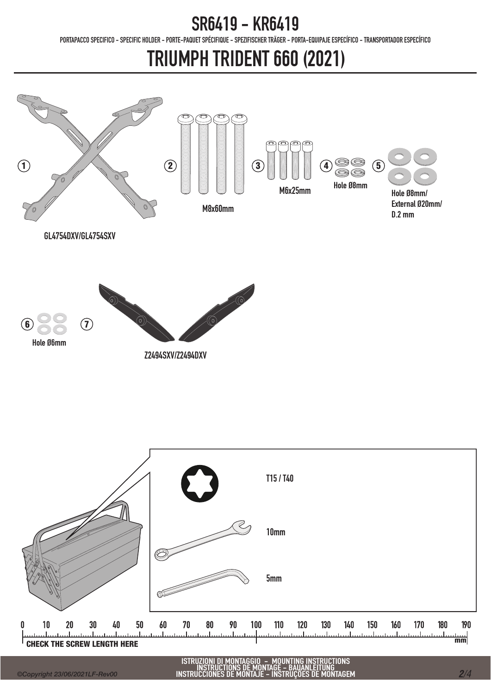PORTAPACCO SPECIFICO - SPECIFIC HOLDER - PORTE-PAQUET SPÉCIFIQUE - SPEZIFISCHER TRÄGER - PORTA-EQUIPAJE ESPECÍFICO - TRANSPORTADOR ESPECÍFICO

# TRIUMPH TRIDENT 660 (2021)



ISTRUZIONI DI MONTAGGIO - MOUNTING INSTRUCTIONS INSTRUCTIONS DE MONTAGE - BAUANLEITUNG INSTRUCCIONES DE MONTAJE - INSTRUÇÕES DE MONTAGEM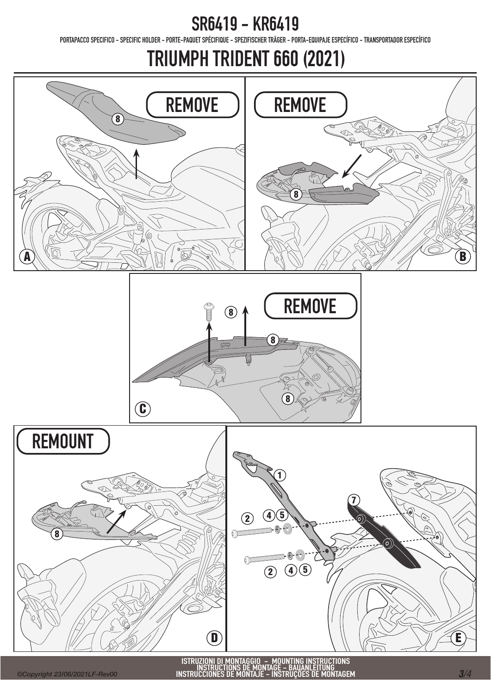PORTAPACCO SPECIFICO - SPECIFIC HOLDER - PORTE-PAQUET SPÉCIFIQUE - SPEZIFISCHER TRÄGER - PORTA-EQUIPAJE ESPECÍFICO - TRANSPORTADOR ESPECÍFICO

TRIUMPH TRIDENT 660 (2021)